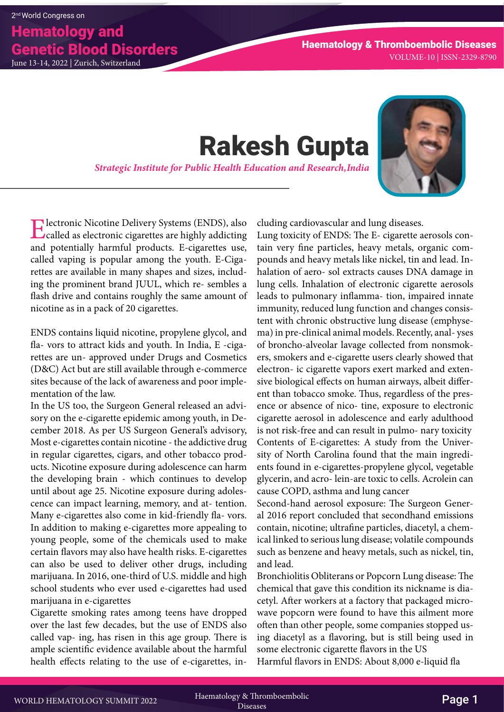## Hematology and June 13-14, 2022 | Zurich, Switzerland

# Rakesh Gupta

*Strategic Institute for Public Health Education and Research, India*



Electronic Nicotine Delivery Systems (ENDS), also called as electronic cigarettes are highly addicting and potentially harmful products. E-cigarettes use, called vaping is popular among the youth. E-Cigarettes are available in many shapes and sizes, including the prominent brand JUUL, which re- sembles a flash drive and contains roughly the same amount of nicotine as in a pack of 20 cigarettes.

ENDS contains liquid nicotine, propylene glycol, and fla- vors to attract kids and youth. In India, E -cigarettes are un- approved under Drugs and Cosmetics (D&C) Act but are still available through e-commerce sites because of the lack of awareness and poor implementation of the law.

In the US too, the Surgeon General released an advisory on the e-cigarette epidemic among youth, in December 2018. As per US Surgeon General's advisory, Most e-cigarettes contain nicotine - the addictive drug in regular cigarettes, cigars, and other tobacco products. Nicotine exposure during adolescence can harm the developing brain - which continues to develop until about age 25. Nicotine exposure during adolescence can impact learning, memory, and at- tention. Many e-cigarettes also come in kid-friendly fla- vors. In addition to making e-cigarettes more appealing to young people, some of the chemicals used to make certain flavors may also have health risks. E-cigarettes can also be used to deliver other drugs, including marijuana. In 2016, one-third of U.S. middle and high school students who ever used e-cigarettes had used marijuana in e-cigarettes

Cigarette smoking rates among teens have dropped over the last few decades, but the use of ENDS also called vap- ing, has risen in this age group. There is ample scientific evidence available about the harmful health effects relating to the use of e-cigarettes, including cardiovascular and lung diseases.

Lung toxicity of ENDS: The E- cigarette aerosols contain very fine particles, heavy metals, organic compounds and heavy metals like nickel, tin and lead. Inhalation of aero- sol extracts causes DNA damage in lung cells. Inhalation of electronic cigarette aerosols leads to pulmonary inflamma- tion, impaired innate immunity, reduced lung function and changes consistent with chronic obstructive lung disease (emphysema) in pre-clinical animal models. Recently, anal- yses of broncho-alveolar lavage collected from nonsmokers, smokers and e-cigarette users clearly showed that electron- ic cigarette vapors exert marked and extensive biological effects on human airways, albeit different than tobacco smoke. Thus, regardless of the presence or absence of nico- tine, exposure to electronic cigarette aerosol in adolescence and early adulthood is not risk-free and can result in pulmo- nary toxicity Contents of E-cigarettes: A study from the University of North Carolina found that the main ingredients found in e-cigarettes-propylene glycol, vegetable glycerin, and acro- lein-are toxic to cells. Acrolein can cause COPD, asthma and lung cancer

Second-hand aerosol exposure: The Surgeon General 2016 report concluded that secondhand emissions contain, nicotine; ultrafine particles, diacetyl, a chemical linked to serious lung disease; volatile compounds such as benzene and heavy metals, such as nickel, tin, and lead.

Bronchiolitis Obliterans or Popcorn Lung disease: The chemical that gave this condition its nickname is diacetyl. After workers at a factory that packaged microwave popcorn were found to have this ailment more often than other people, some companies stopped using diacetyl as a flavoring, but is still being used in some electronic cigarette flavors in the US

Harmful flavors in ENDS: About 8,000 e-liquid fla